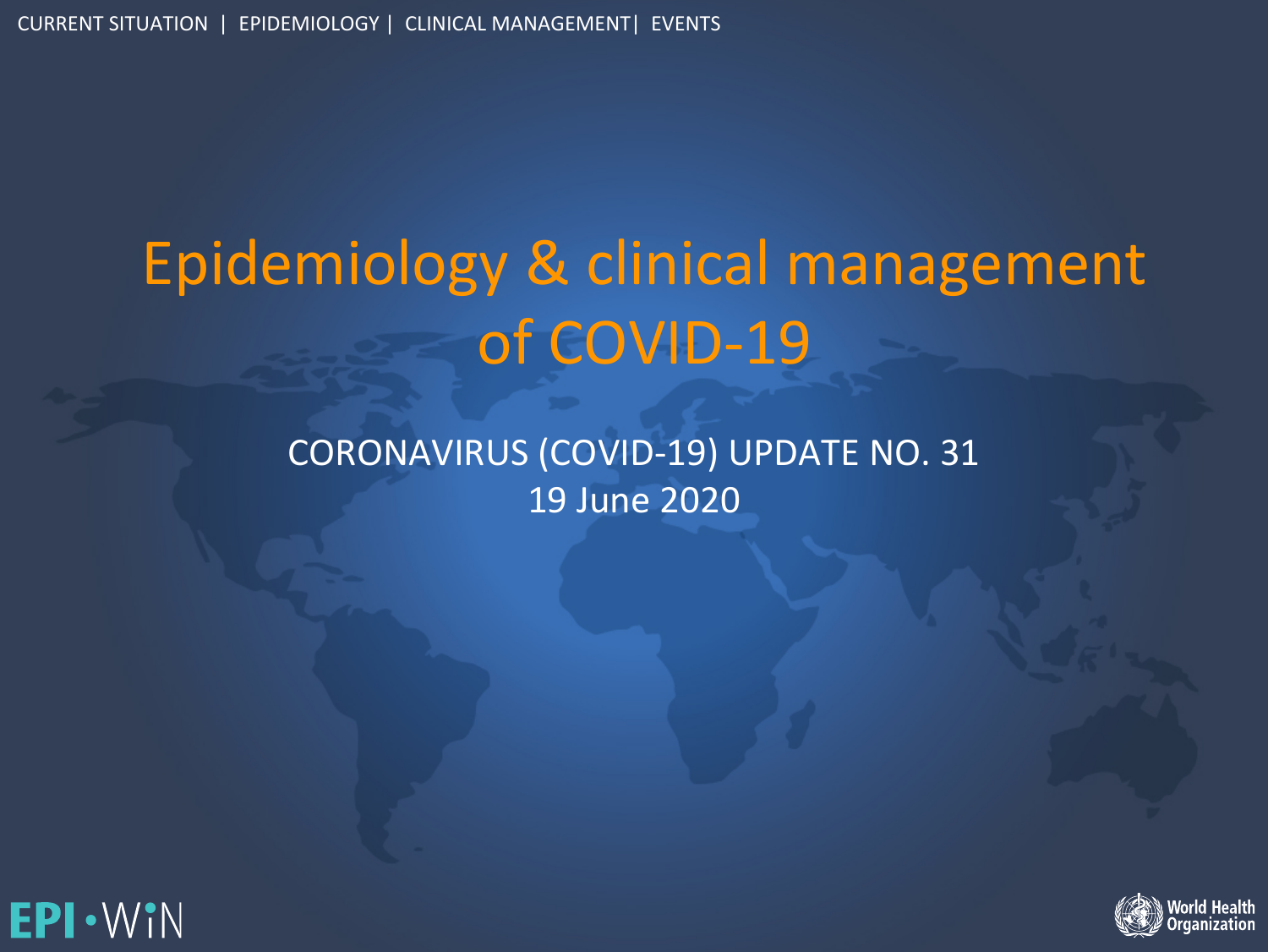# Epidemiology & clinical management of COVID-19

CORONAVIRUS (COVID-19) UPDATE NO. 31 19 June 2020



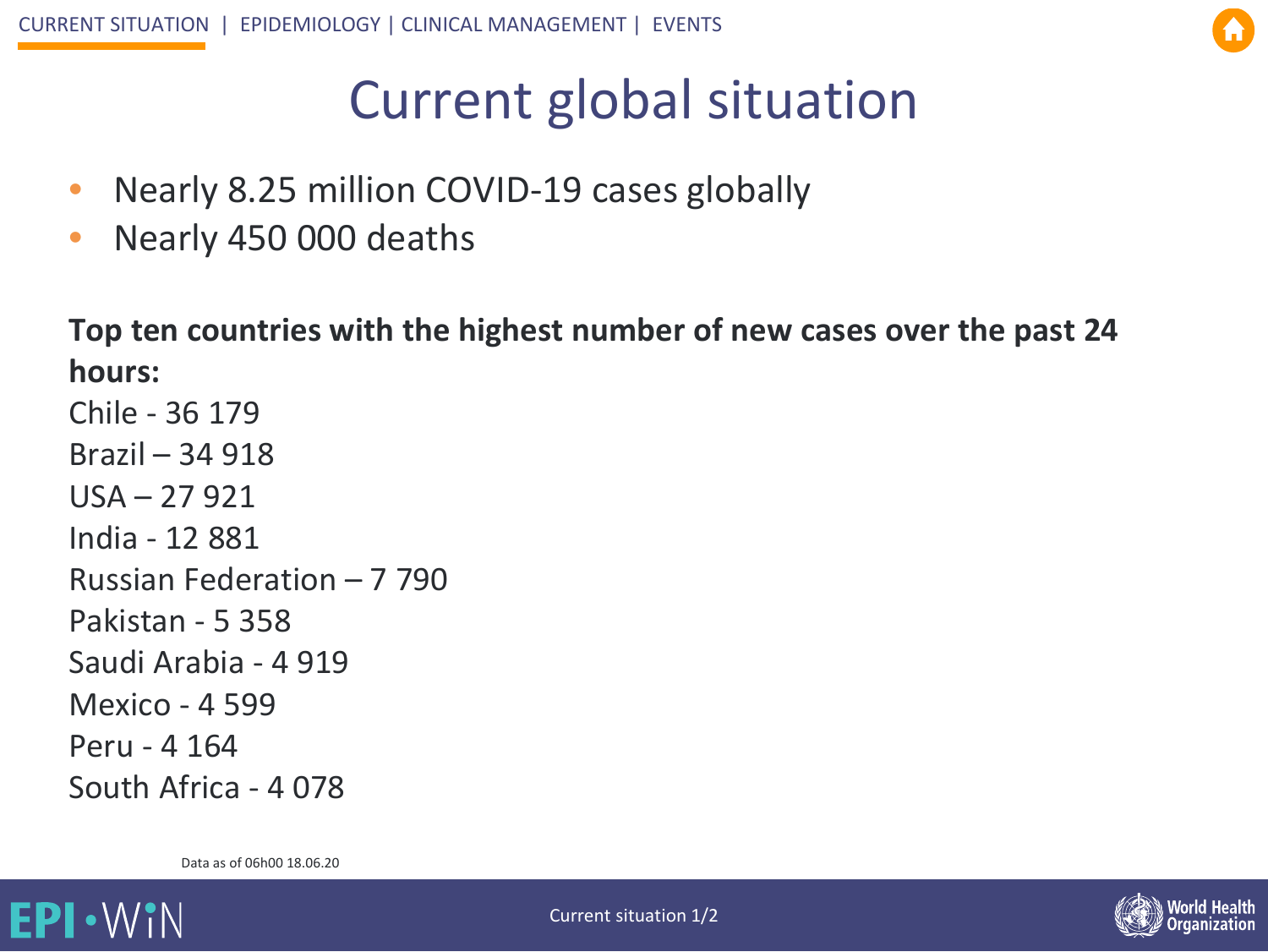## C[urr](#page-6-0)[ent glo](#page-14-0)bal situation

- Nearly 8.25 million COVID-19 cases globally
- Nearly 450 000 deaths

**Top ten countries with the highest number of new cases over the past 24 hours:**

Chile - 36 179 Brazil – 34 918 USA – 27 921 India - 12 881 Russian Federation – 7 790 Pakistan - 5 358 Saudi Arabia - 4 919 Mexico - 4 599 Peru - 4 164 South Africa - 4 078

Data as of 06h00 18.06.20



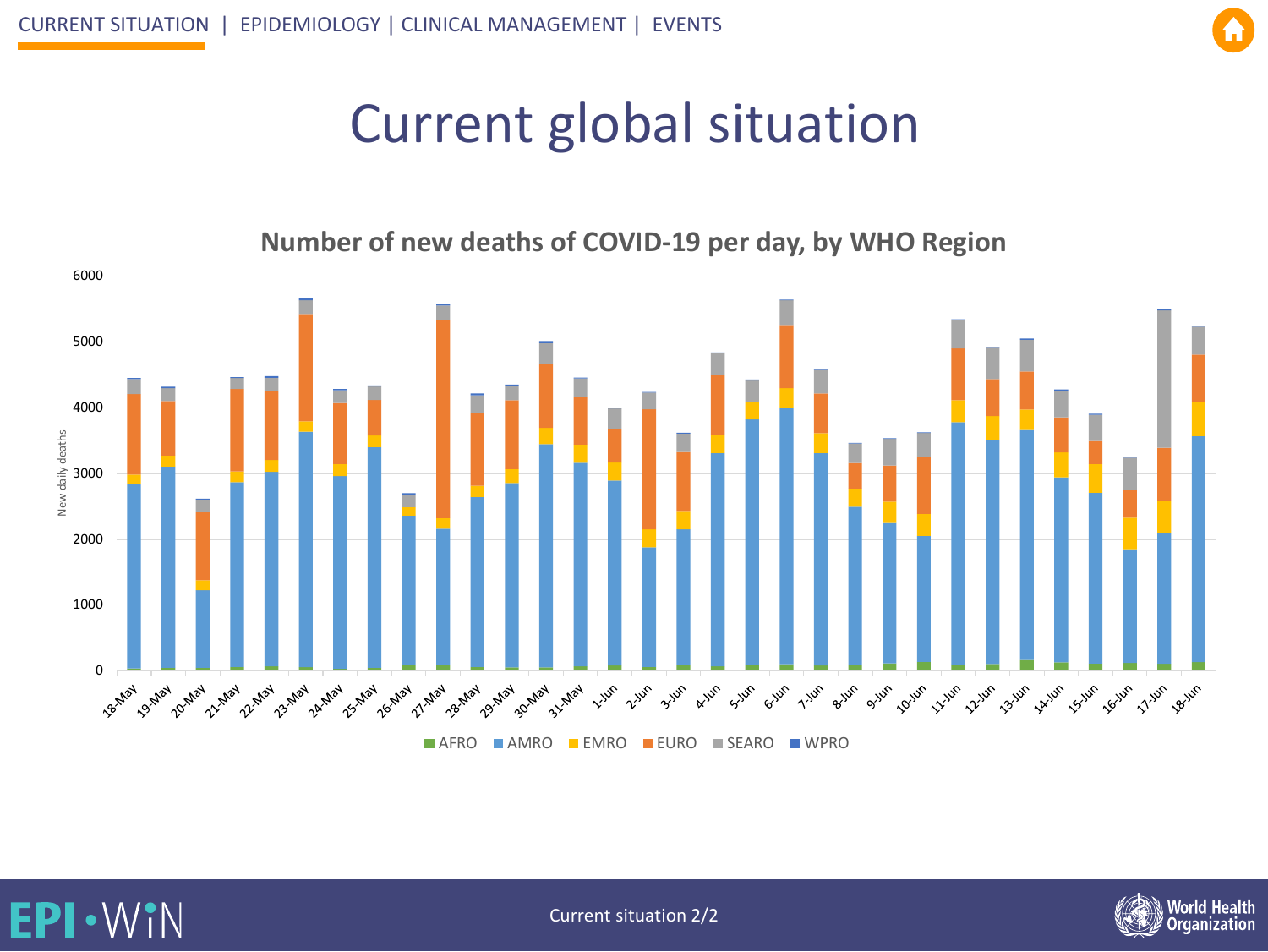EP

VIN

## Curr[ent glo](#page-14-0)bal situation

#### **Number of new deaths of COVID-19 per day, by WHO Region**

<span id="page-2-0"></span>



Current situation 2/2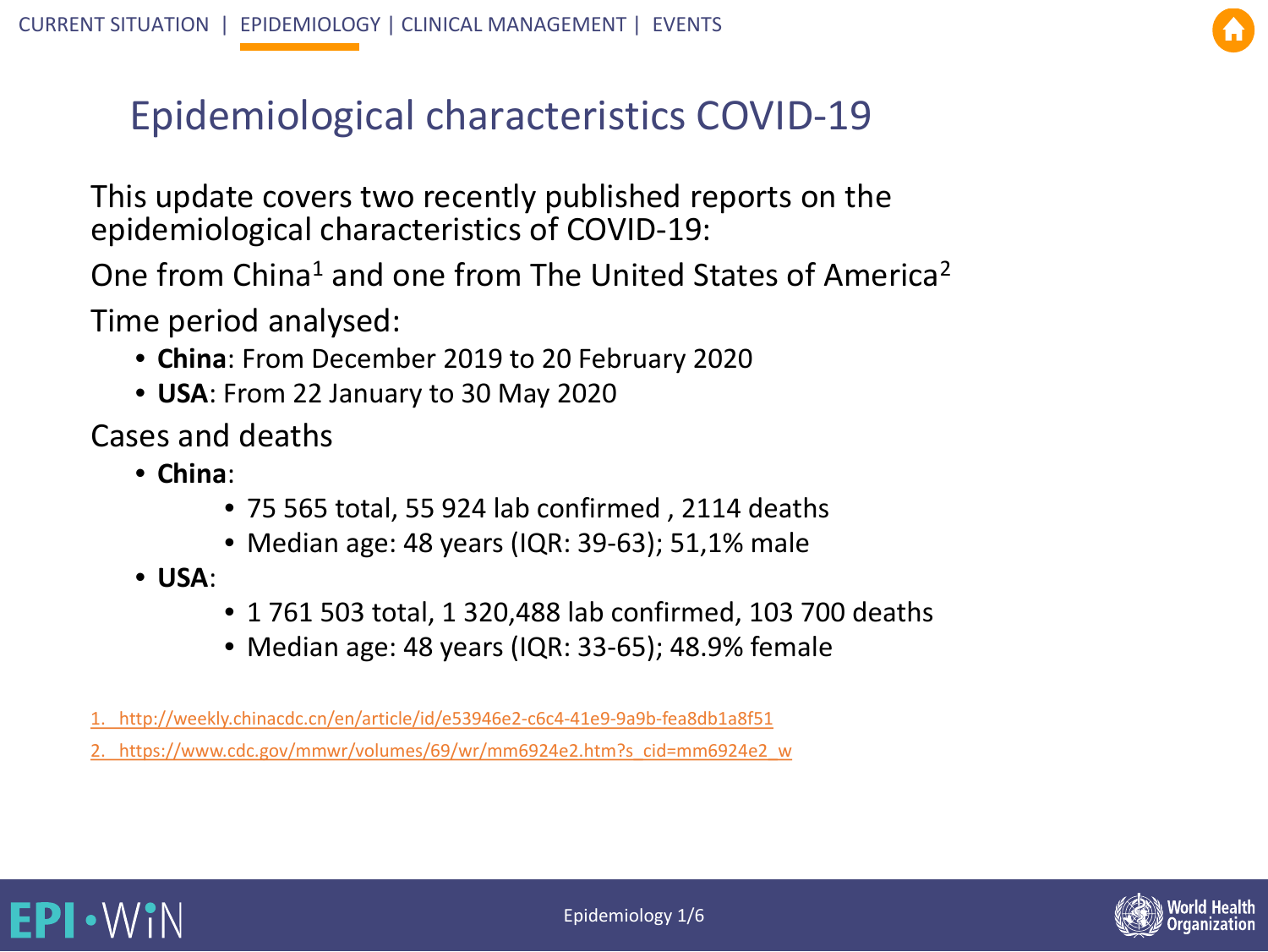#### Epidemiological ch[aracteri](#page-14-0)stics COVID-19

This update covers two recently published reports on the epidemiological characteristics of COVID-19:

One from China<sup>1</sup> and one from The United States of America<sup>2</sup>

Time period analysed:

- **China**: From December 2019 to 20 February 2020
- **USA**: From 22 January to 30 May 2020

Cases and deaths

- **China**:
	- 75 565 total, 55 924 lab confirmed , 2114 deaths
	- Median age: 48 years (IQR: 39-63); 51,1% male
- **USA**:

**EPI · WIN** 

- 1 761 503 total, 1 320,488 lab confirmed, 103 700 deaths
- Median age: 48 years (IQR: 33-65); 48.9% female
- [1. http://weekly.chinacdc.cn/en/article/id/e53946e2-c6c4-41e9-9a9b-fea8db1a8f51](http://weekly.chinacdc.cn/en/article/id/e53946e2-c6c4-41e9-9a9b-fea8db1a8f51)

[2. https://www.cdc.gov/mmwr/volumes/69/wr/mm6924e2.htm?s\\_cid=mm6924e2\\_w](https://www.cdc.gov/mmwr/volumes/69/wr/mm6924e2.htm?s_cid=mm6924e2_w)

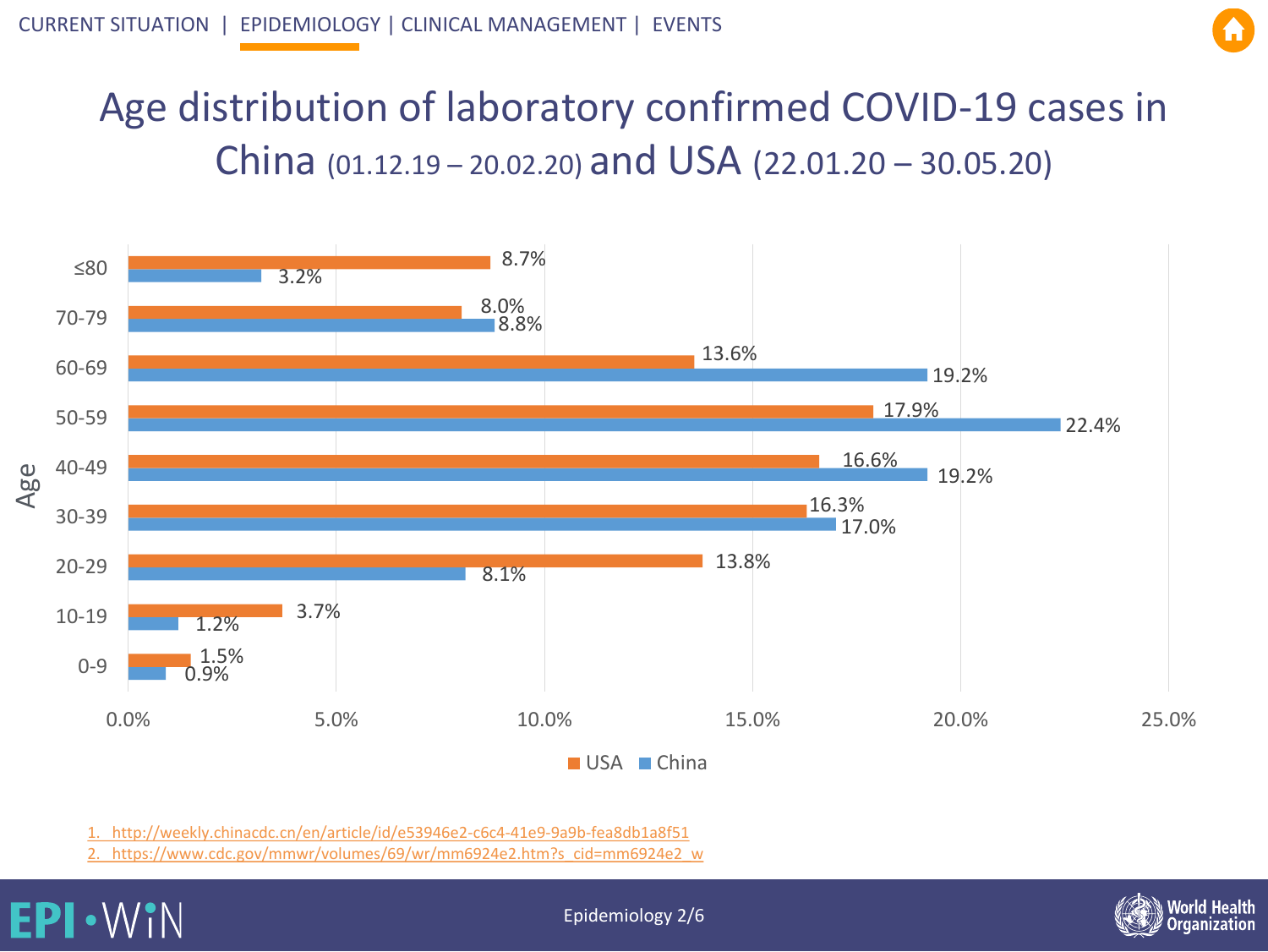#### Age distribution of l[aborato](#page-14-0)ry confirmed COVID-19 cases in China (01.12.19 – 20.02.20) and USA (22.01.20 – 30.05.20)



[1. http://weekly.chinacdc.cn/en/article/id/e53946e2-c6c4-41e9-9a9b-fea8db1a8f51](http://weekly.chinacdc.cn/en/article/id/e53946e2-c6c4-41e9-9a9b-fea8db1a8f51)

[2. https://www.cdc.gov/mmwr/volumes/69/wr/mm6924e2.htm?s\\_cid=mm6924e2\\_w](https://www.cdc.gov/mmwr/volumes/69/wr/mm6924e2.htm?s_cid=mm6924e2_w)

#### **EPI · WIN**

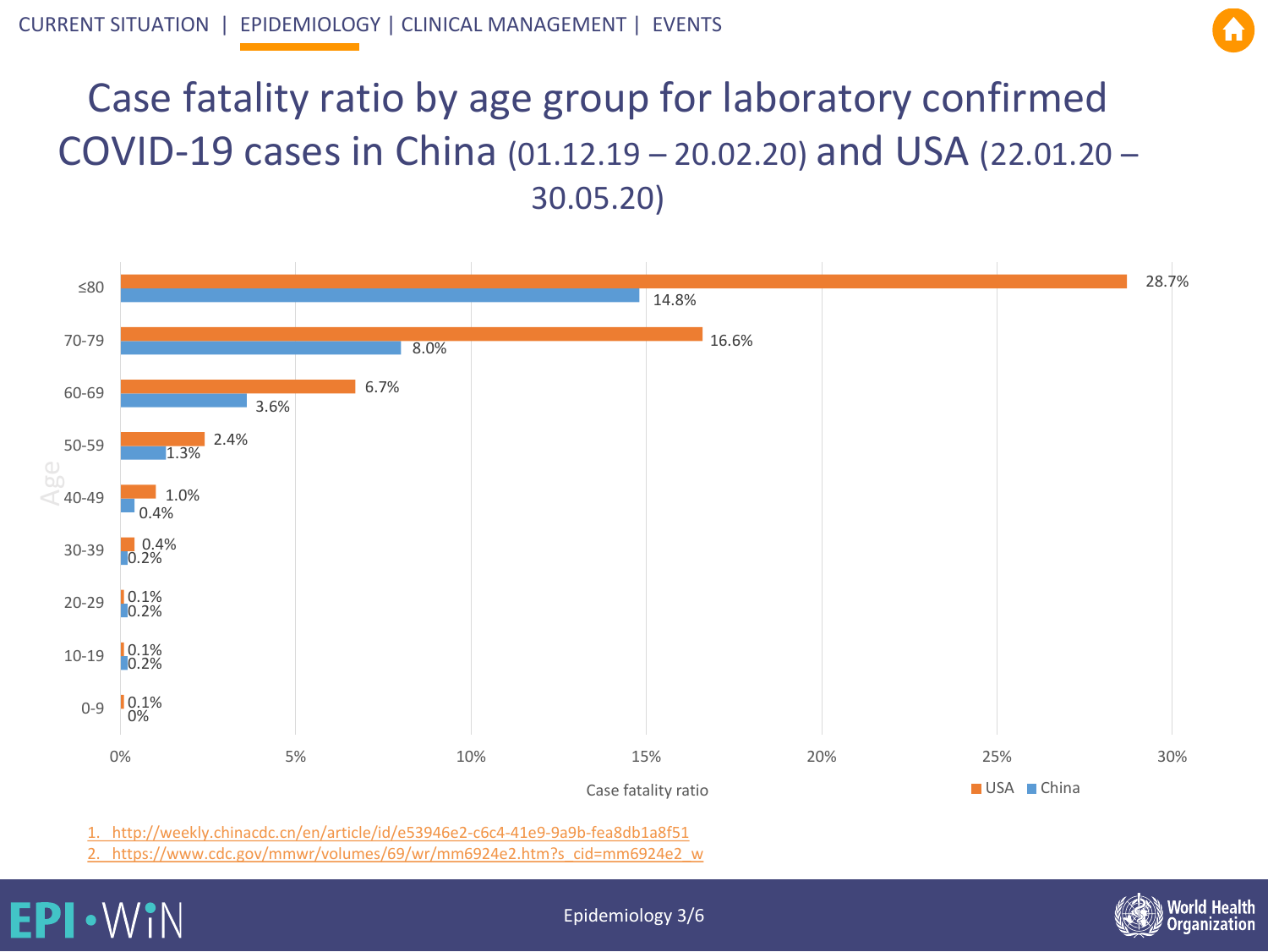#### Case fatality rat[io by](#page-6-0) [age gro](#page-14-0)up for laboratory confirmed COVID-19 cases in China (01.12.19 – 20.02.20) and USA (22.01.20 – 30.05.20)



[1. http://weekly.chinacdc.cn/en/article/id/e53946e2-c6c4-41e9-9a9b-fea8db1a8f51](http://weekly.chinacdc.cn/en/article/id/e53946e2-c6c4-41e9-9a9b-fea8db1a8f51)

[2. https://www.cdc.gov/mmwr/volumes/69/wr/mm6924e2.htm?s\\_cid=mm6924e2\\_w](https://www.cdc.gov/mmwr/volumes/69/wr/mm6924e2.htm?s_cid=mm6924e2_w)

EP WiN



Epidemiology 3/6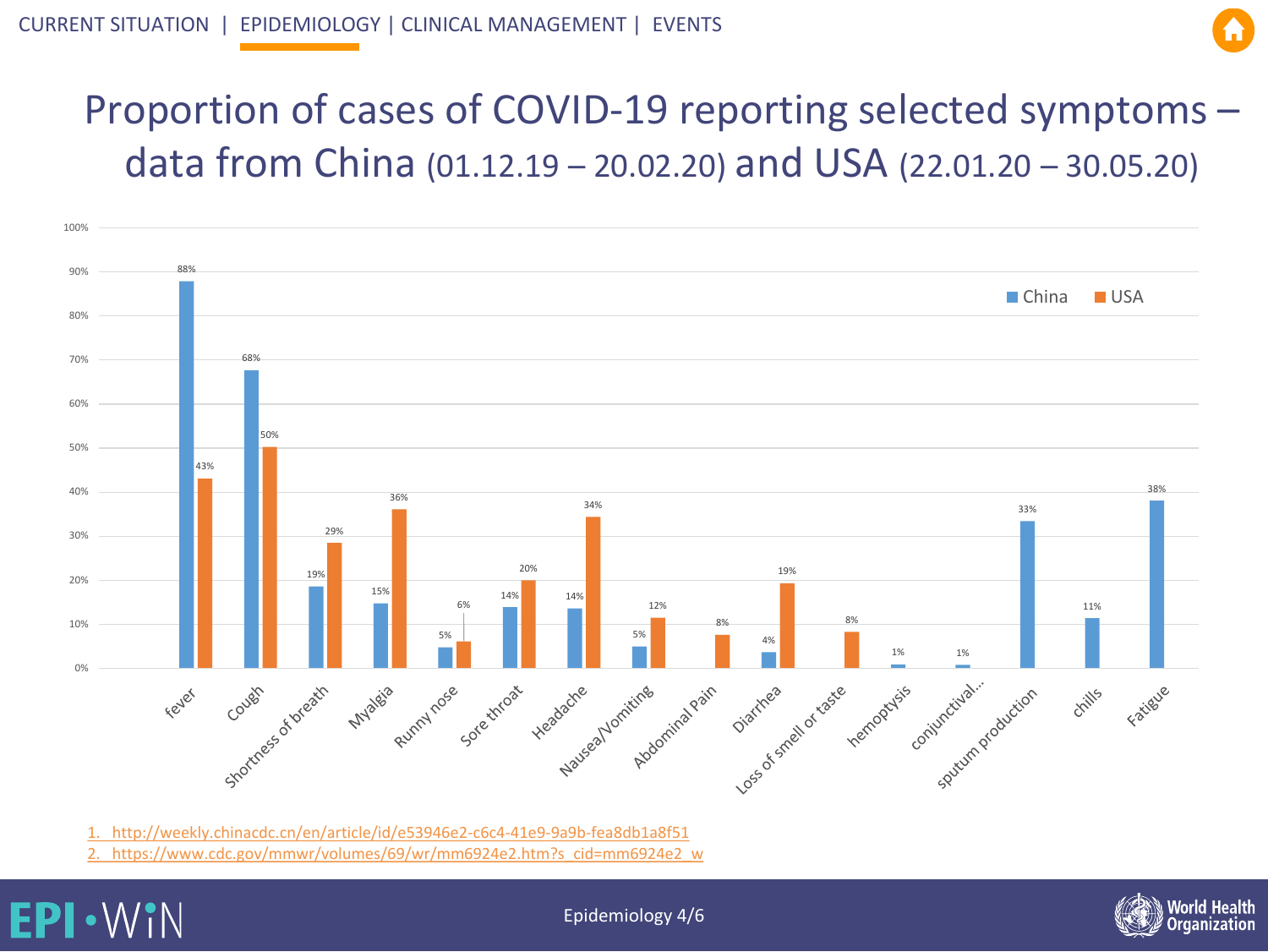

### <span id="page-6-0"></span>Proportion of cases o[f COVID](#page-14-0)-19 reporting selected symptoms – data from China (01.12.19 – 20.02.20) and USA (22.01.20 – 30.05.20)



[1. http://weekly.chinacdc.cn/en/article/id/e53946e2-c6c4-41e9-9a9b-fea8db1a8f51](http://weekly.chinacdc.cn/en/article/id/e53946e2-c6c4-41e9-9a9b-fea8db1a8f51)

[2. https://www.cdc.gov/mmwr/volumes/69/wr/mm6924e2.htm?s\\_cid=mm6924e2\\_w](https://www.cdc.gov/mmwr/volumes/69/wr/mm6924e2.htm?s_cid=mm6924e2_w)



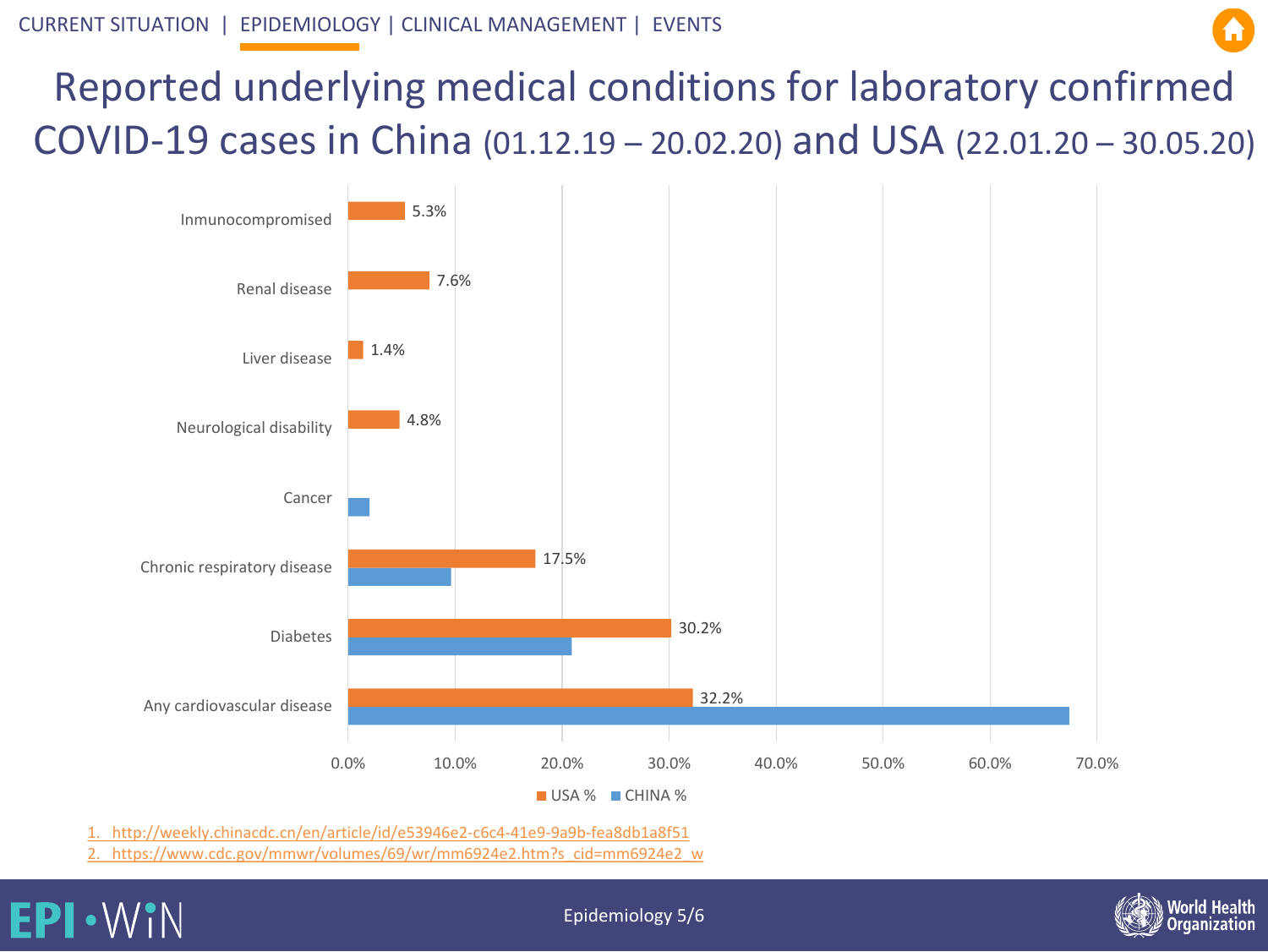

### Reported underly[ing m](#page-6-0)[edical c](#page-14-0)onditions for laboratory confirmed COVID-19 cases in China (01.12.19 – 20.02.20) and USA (22.01.20 – 30.05.20)



[1. http://weekly.chinacdc.cn/en/article/id/e53946e2-c6c4-41e9-9a9b-fea8db1a8f51](http://weekly.chinacdc.cn/en/article/id/e53946e2-c6c4-41e9-9a9b-fea8db1a8f51)

[2. https://www.cdc.gov/mmwr/volumes/69/wr/mm6924e2.htm?s\\_cid=mm6924e2\\_w](https://www.cdc.gov/mmwr/volumes/69/wr/mm6924e2.htm?s_cid=mm6924e2_w)





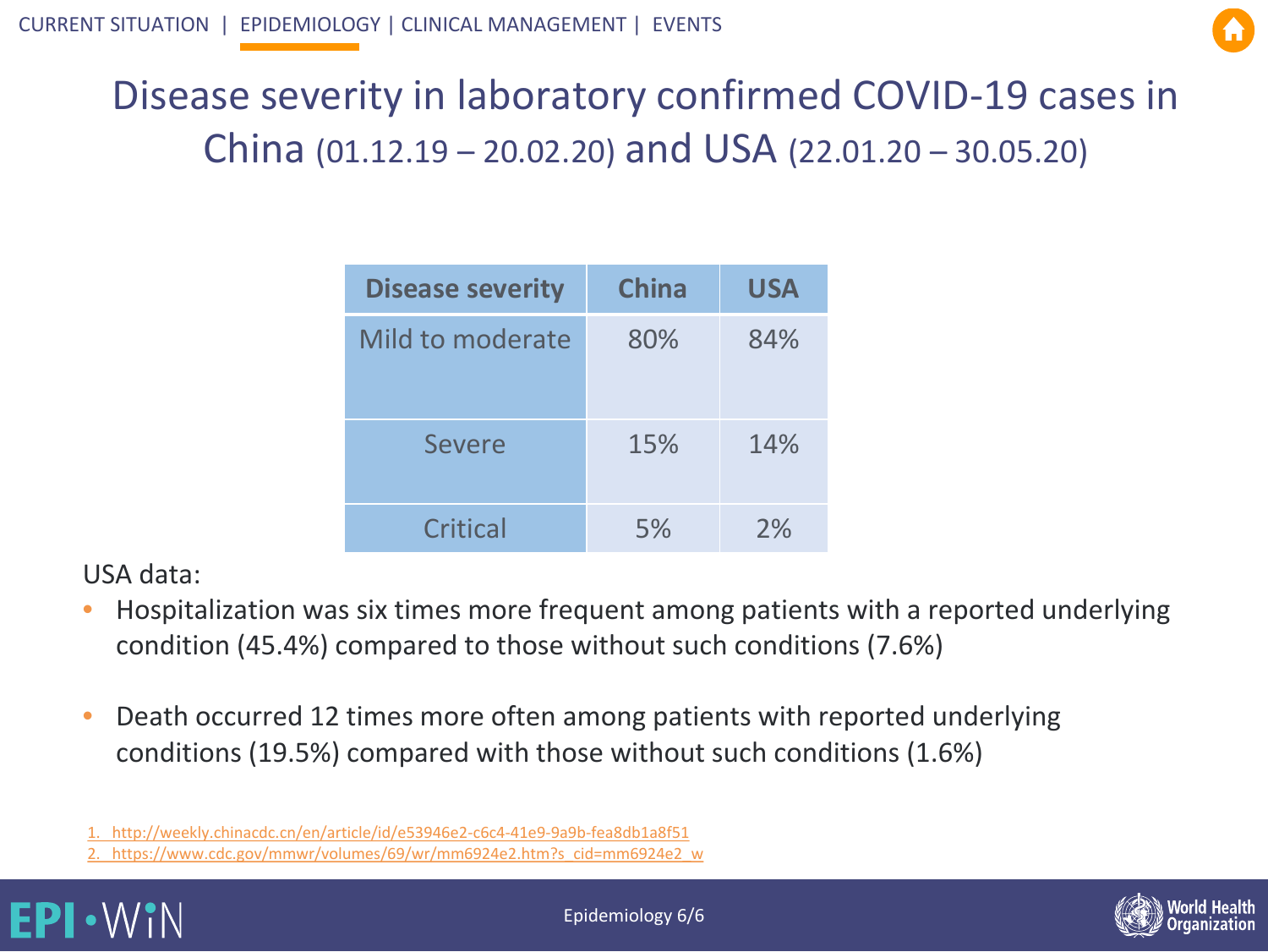

### Disease severi[ty in l](#page-6-0)[aborato](#page-14-0)ry confirmed COVID-19 cases in China (01.12.19 – 20.02.20) and USA (22.01.20 – 30.05.20)

| <b>Disease severity</b> | <b>China</b> | <b>USA</b> |
|-------------------------|--------------|------------|
| Mild to moderate        | 80%          | 84%        |
| <b>Severe</b>           | 15%          | 14%        |
| Critical                | 5%           | 2%         |

USA data:

- Hospitalization was six times more frequent among patients with a reported underlying condition (45.4%) compared to those without such conditions (7.6%)
- Death occurred 12 times more often among patients with reported underlying conditions (19.5%) compared with those without such conditions (1.6%)

[<sup>2.</sup> https://www.cdc.gov/mmwr/volumes/69/wr/mm6924e2.htm?s\\_cid=mm6924e2\\_w](https://www.cdc.gov/mmwr/volumes/69/wr/mm6924e2.htm?s_cid=mm6924e2_w)





[<sup>1.</sup> http://weekly.chinacdc.cn/en/article/id/e53946e2-c6c4-41e9-9a9b-fea8db1a8f51](http://weekly.chinacdc.cn/en/article/id/e53946e2-c6c4-41e9-9a9b-fea8db1a8f51)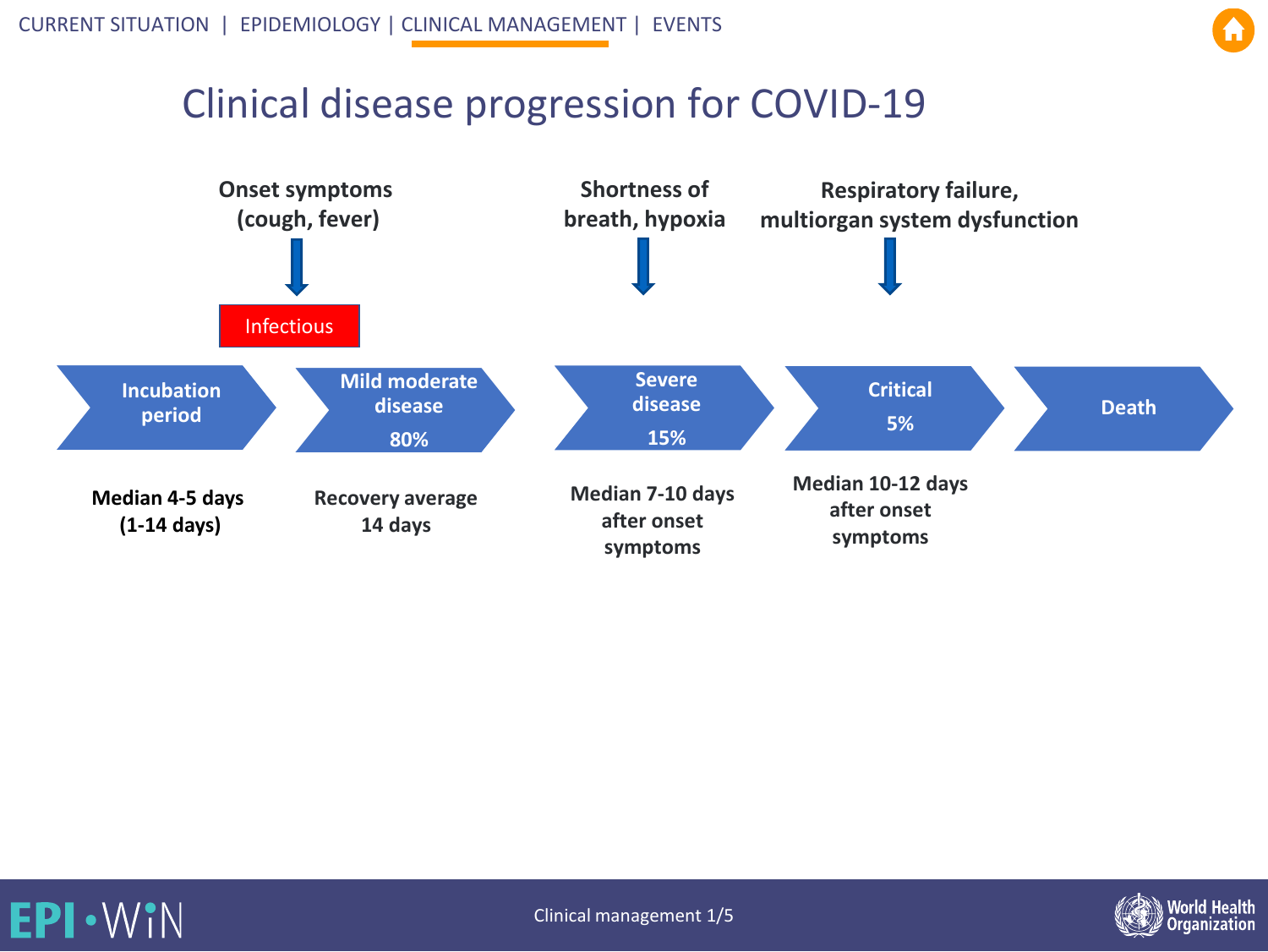#### Clinical disease [progres](#page-14-0)sion for COVID-19







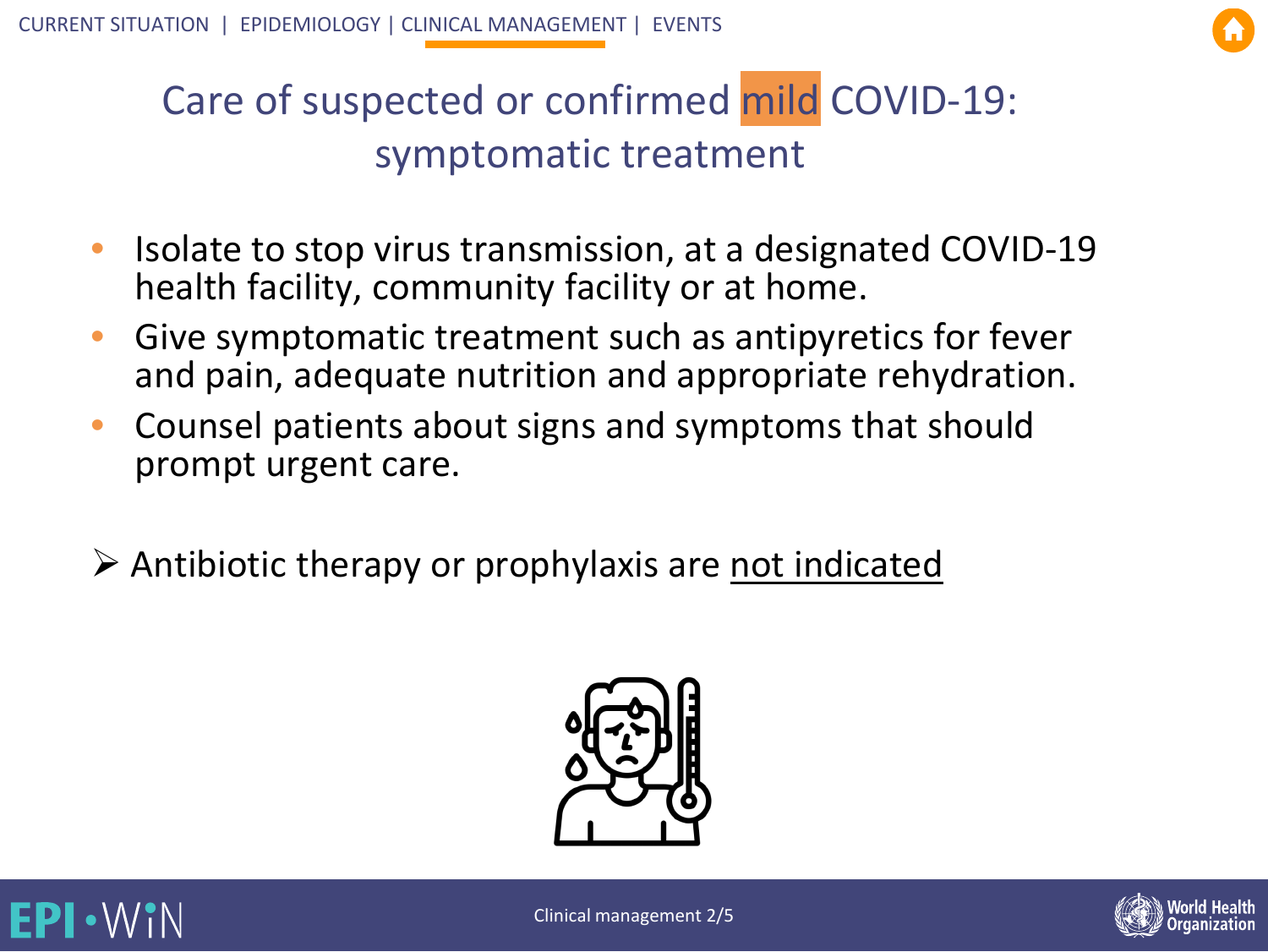

### Care of sus[pecte](#page-6-0)[d or con](#page-14-0)firmed mild COVID-19: symptomatic treatment

- Isolate to stop virus transmission, at a designated COVID-19 health facility, community facility or at home.
- Give symptomatic treatment such as antipyretics for fever and pain, adequate nutrition and appropriate rehydration.
- Counsel patients about signs and symptoms that should prompt urgent care.
- $\triangleright$  Antibiotic therapy or prophylaxis are not indicated







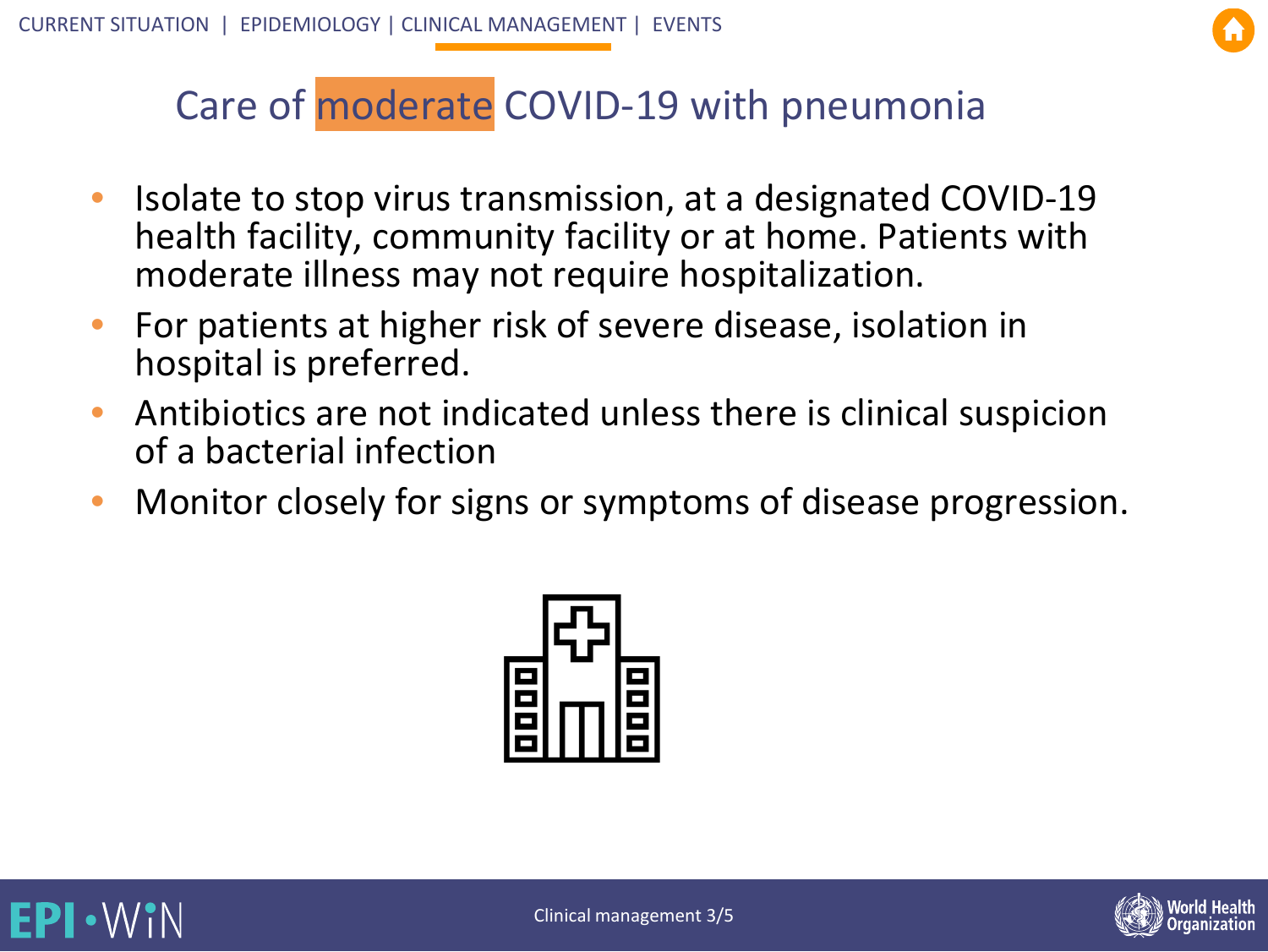

## Care of moderate [COVID](#page-14-0)-19 with pneumonia

- Isolate to stop virus transmission, at a designated COVID-19 health facility, community facility or at home. Patients with moderate illness may not require hospitalization.
- For patients at higher risk of severe disease, isolation in hospital is preferred.
- Antibiotics are not indicated unless there is clinical suspicion of a bacterial infection
- Monitor closely for signs or symptoms of disease progression.





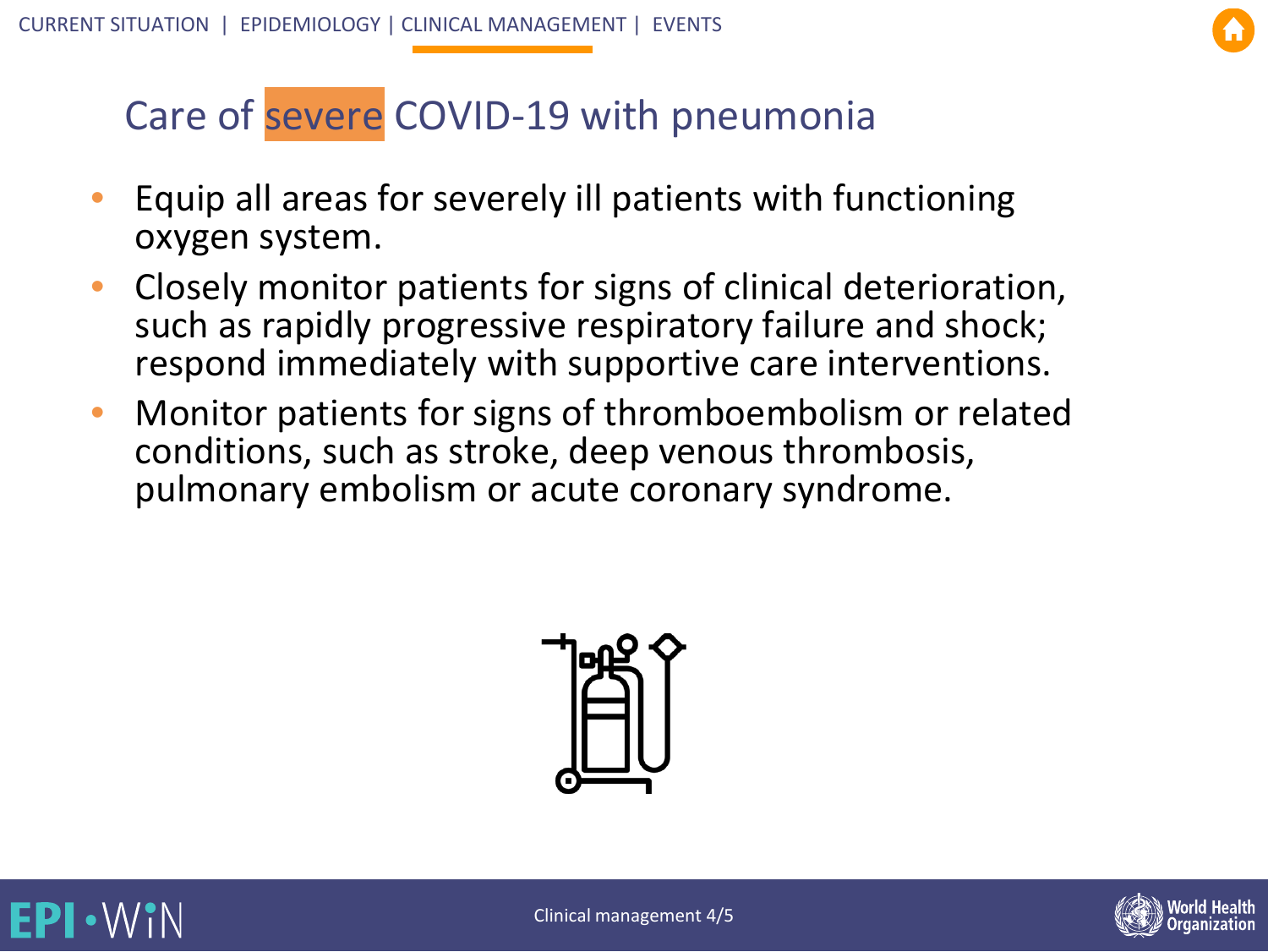

### <span id="page-12-0"></span>Care of severe COV[ID-19 w](#page-14-0)ith pneumonia

- Equip all areas for severely ill patients with functioning oxygen system.
- Closely monitor patients for signs of clinical deterioration, such as rapidly progressive respiratory failure and shock; respond immediately with supportive care interventions.
- Monitor patients for signs of thromboembolism or related conditions, such as stroke, deep venous thrombosis, pulmonary embolism or acute coronary syndrome.





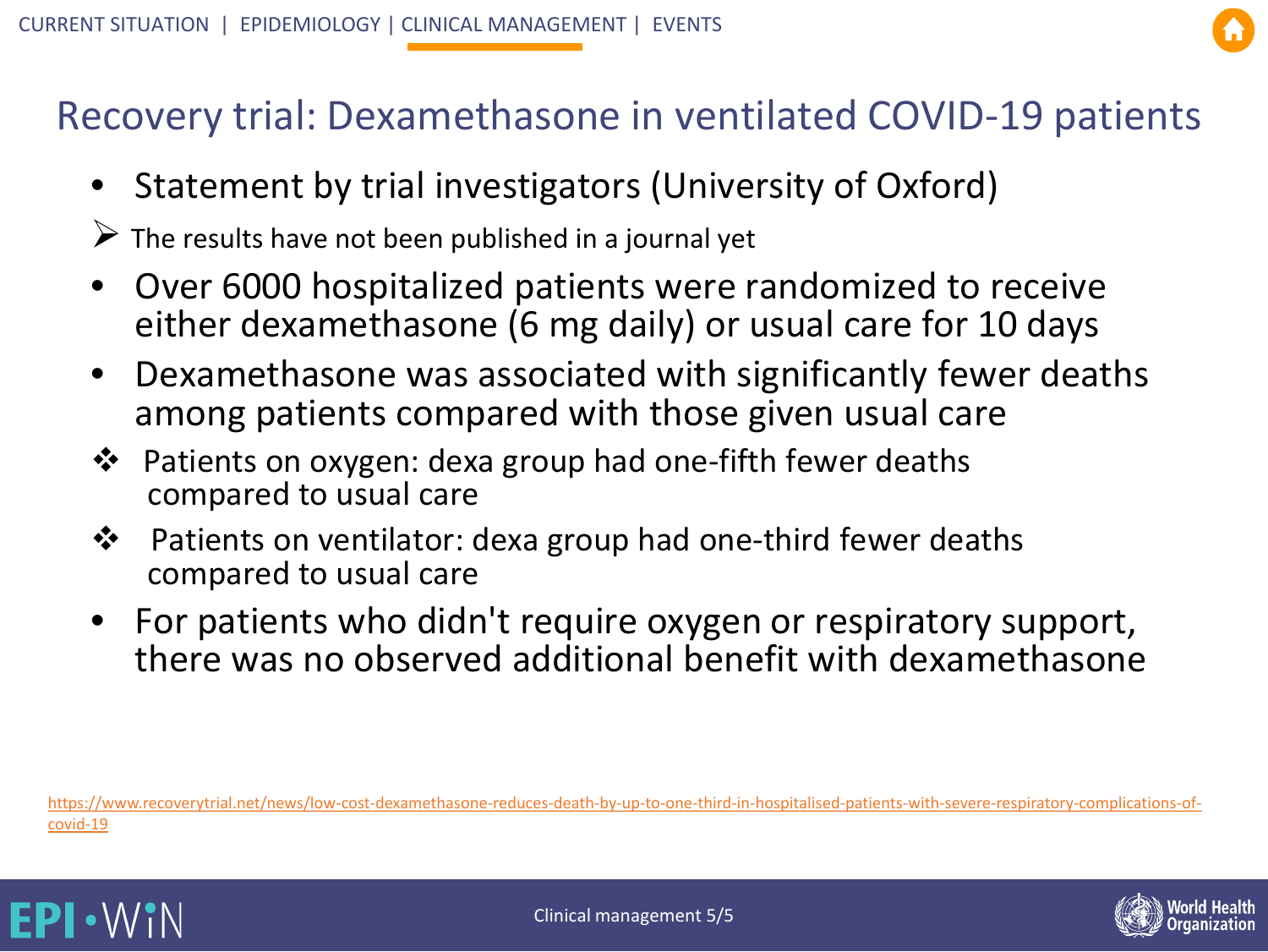#### Recovery trial: Dexam[ethasone](#page-14-0) in ventilated COVID-19 patients

- Statement by trial investigators (University of Oxford)
- $\triangleright$  The results have not been published in a journal yet
- Over 6000 hospitalized patients were randomized to receive either dexamethasone (6 mg daily) or usual care for 10 days
- Dexamethasone was associated with significantly fewer deaths among patients compared with those given usual care
- Patients on oxygen: dexa group had one-fifth fewer deaths compared to usual care
- ❖ Patients on ventilator: dexa group had one-third fewer deaths compared to usual care
- For patients who didn't require oxygen or respiratory support, there was no observed additional benefit with dexamethasone

[https://www.recoverytrial.net/news/low-cost-dexamethasone-reduces-death-by-up-to-one-third-in-hospitalised-patients-with-severe-respiratory-complications-of](https://www.recoverytrial.net/news/low-cost-dexamethasone-reduces-death-by-up-to-one-third-in-hospitalised-patients-with-severe-respiratory-complications-of-covid-19)covid-19